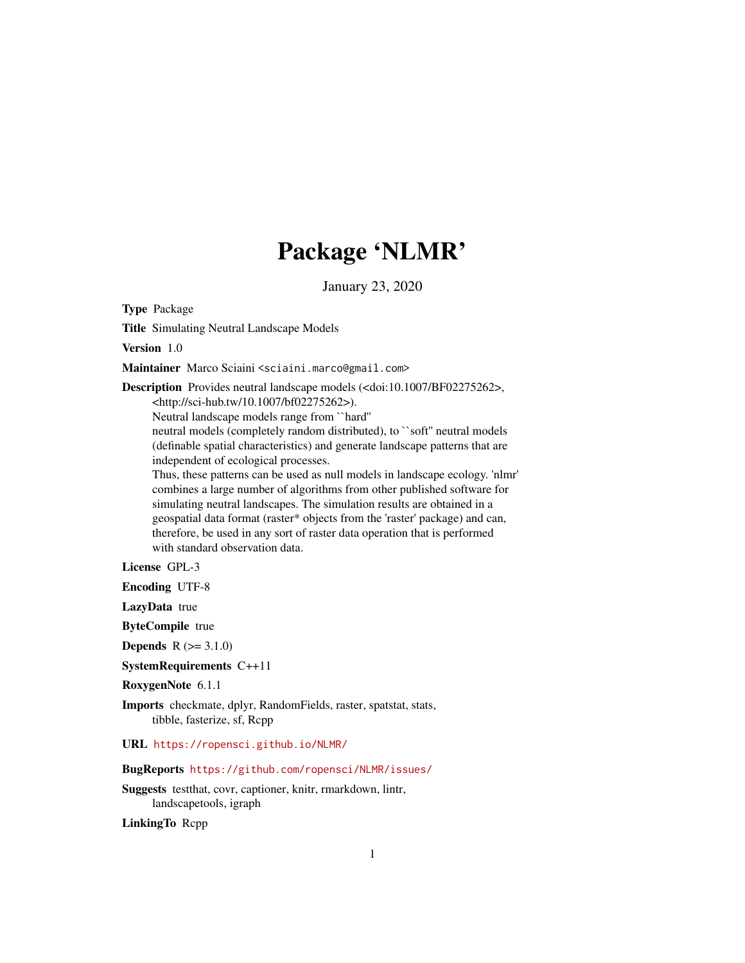# Package 'NLMR'

January 23, 2020

Type Package

Title Simulating Neutral Landscape Models

Version 1.0

Maintainer Marco Sciaini <sciaini.marco@gmail.com>

Description Provides neutral landscape models (<doi:10.1007/BF02275262>, <http://sci-hub.tw/10.1007/bf02275262>).

Neutral landscape models range from ``hard''

neutral models (completely random distributed), to ``soft'' neutral models (definable spatial characteristics) and generate landscape patterns that are independent of ecological processes.

Thus, these patterns can be used as null models in landscape ecology. 'nlmr' combines a large number of algorithms from other published software for simulating neutral landscapes. The simulation results are obtained in a geospatial data format (raster\* objects from the 'raster' package) and can, therefore, be used in any sort of raster data operation that is performed with standard observation data.

License GPL-3

Encoding UTF-8

LazyData true

ByteCompile true

**Depends**  $R (= 3.1.0)$ 

SystemRequirements C++11

RoxygenNote 6.1.1

Imports checkmate, dplyr, RandomFields, raster, spatstat, stats, tibble, fasterize, sf, Rcpp

URL <https://ropensci.github.io/NLMR/>

# BugReports <https://github.com/ropensci/NLMR/issues/>

Suggests testthat, covr, captioner, knitr, rmarkdown, lintr, landscapetools, igraph

LinkingTo Rcpp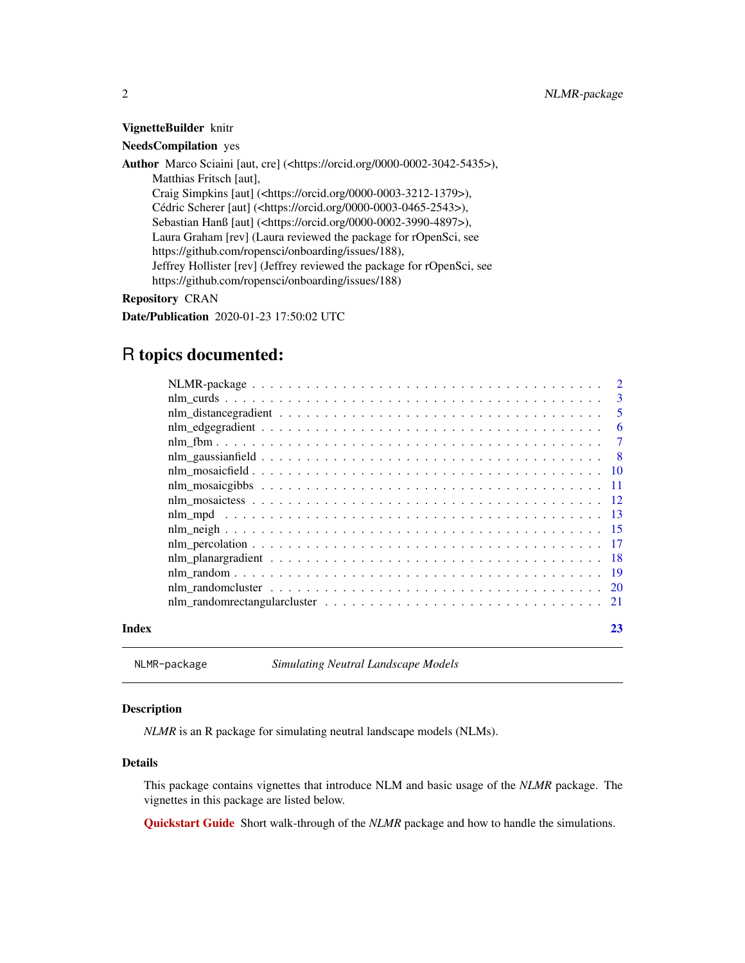<span id="page-1-0"></span>VignetteBuilder knitr

NeedsCompilation yes

Author Marco Sciaini [aut, cre] (<https://orcid.org/0000-0002-3042-5435>), Matthias Fritsch [aut], Craig Simpkins [aut] (<https://orcid.org/0000-0003-3212-1379>), Cédric Scherer [aut] (<https://orcid.org/0000-0003-0465-2543>), Sebastian Hanß [aut] (<https://orcid.org/0000-0002-3990-4897>), Laura Graham [rev] (Laura reviewed the package for rOpenSci, see https://github.com/ropensci/onboarding/issues/188), Jeffrey Hollister [rev] (Jeffrey reviewed the package for rOpenSci, see https://github.com/ropensci/onboarding/issues/188)

Repository CRAN

Date/Publication 2020-01-23 17:50:02 UTC

# R topics documented:

|       |                                                                                                                        | $\overline{3}$ |
|-------|------------------------------------------------------------------------------------------------------------------------|----------------|
|       |                                                                                                                        |                |
|       |                                                                                                                        | - 6            |
|       |                                                                                                                        |                |
|       |                                                                                                                        |                |
|       |                                                                                                                        |                |
|       |                                                                                                                        |                |
|       |                                                                                                                        |                |
|       |                                                                                                                        |                |
|       |                                                                                                                        |                |
|       |                                                                                                                        |                |
|       |                                                                                                                        |                |
|       |                                                                                                                        |                |
|       |                                                                                                                        |                |
|       | nlm_randomrectangular cluster $\ldots \ldots \ldots \ldots \ldots \ldots \ldots \ldots \ldots \ldots \ldots \ldots 21$ |                |
| Index |                                                                                                                        | 23             |

NLMR-package *Simulating Neutral Landscape Models*

#### Description

*NLMR* is an R package for simulating neutral landscape models (NLMs).

#### Details

This package contains vignettes that introduce NLM and basic usage of the *NLMR* package. The vignettes in this package are listed below.

[Quickstart Guide](https://ropensci.github.io/NLMR/articles/getstarted.html) Short walk-through of the *NLMR* package and how to handle the simulations.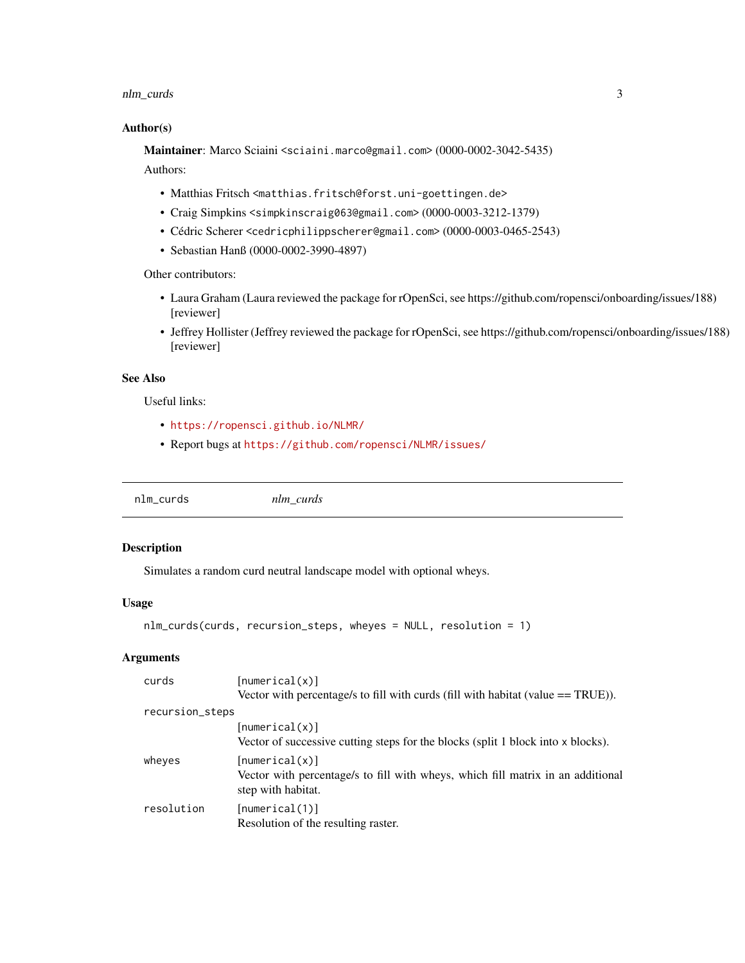# <span id="page-2-0"></span>nlm\_curds 3

#### Author(s)

Maintainer: Marco Sciaini <sciaini.marco@gmail.com> (0000-0002-3042-5435)

Authors:

- Matthias Fritsch <matthias.fritsch@forst.uni-goettingen.de>
- Craig Simpkins <simpkinscraig063@gmail.com> (0000-0003-3212-1379)
- Cédric Scherer <cedricphilippscherer@gmail.com> (0000-0003-0465-2543)
- Sebastian Hanß (0000-0002-3990-4897)

Other contributors:

- Laura Graham (Laura reviewed the package for rOpenSci, see https://github.com/ropensci/onboarding/issues/188) [reviewer]
- Jeffrey Hollister (Jeffrey reviewed the package for rOpenSci, see https://github.com/ropensci/onboarding/issues/188) [reviewer]

#### See Also

Useful links:

- <https://ropensci.github.io/NLMR/>
- Report bugs at <https://github.com/ropensci/NLMR/issues/>

nlm\_curds *nlm\_curds*

# Description

Simulates a random curd neutral landscape model with optional wheys.

#### Usage

```
nlm_curds(curds, recursion_steps, wheyes = NULL, resolution = 1)
```

| curds           | [numerical(x)]                                                                                                          |
|-----------------|-------------------------------------------------------------------------------------------------------------------------|
|                 | Vector with percentage/s to fill with curds (fill with habitat (value $==$ TRUE)).                                      |
| recursion_steps |                                                                                                                         |
|                 | [numerical(x)]<br>Vector of successive cutting steps for the blocks (split 1 block into x blocks).                      |
| wheves          | [numerical(x)]<br>Vector with percentage/s to fill with wheys, which fill matrix in an additional<br>step with habitat. |
| resolution      | [numerical(1)]<br>Resolution of the resulting raster.                                                                   |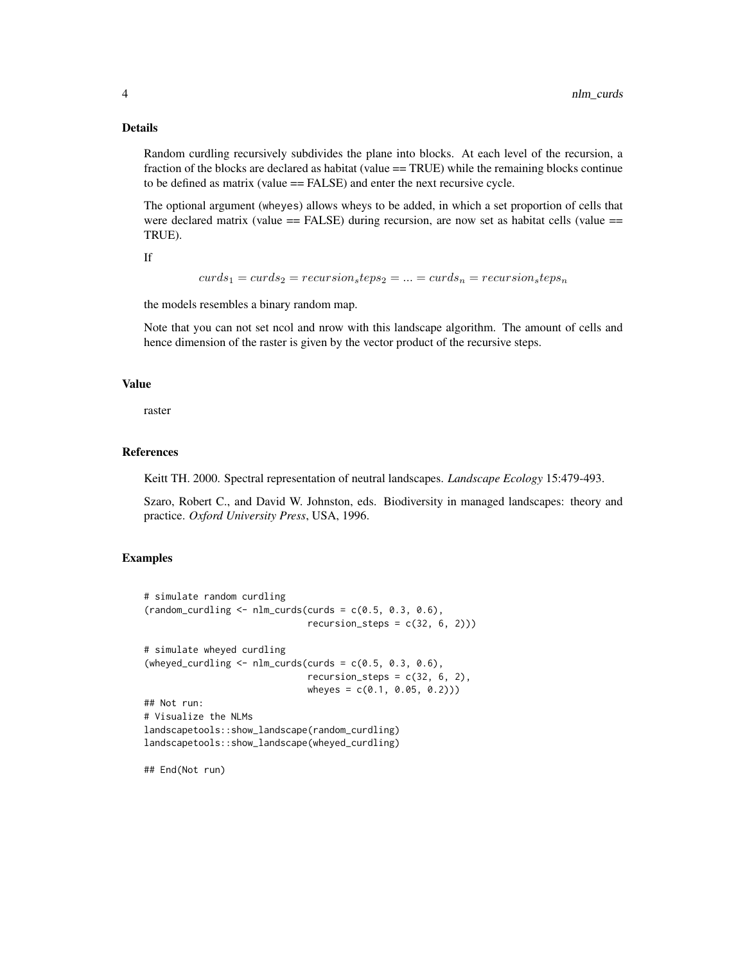#### Details

Random curdling recursively subdivides the plane into blocks. At each level of the recursion, a fraction of the blocks are declared as habitat (value == TRUE) while the remaining blocks continue to be defined as matrix (value == FALSE) and enter the next recursive cycle.

The optional argument (wheyes) allows wheys to be added, in which a set proportion of cells that were declared matrix (value  $==$  FALSE) during recursion, are now set as habitat cells (value  $==$ TRUE).

If

 $curds_1 = curds_2 = recursion_steps_2 = \ldots = curds_n = recursion_steps_n$ 

the models resembles a binary random map.

Note that you can not set ncol and nrow with this landscape algorithm. The amount of cells and hence dimension of the raster is given by the vector product of the recursive steps.

#### Value

raster

#### References

Keitt TH. 2000. Spectral representation of neutral landscapes. *Landscape Ecology* 15:479-493.

Szaro, Robert C., and David W. Johnston, eds. Biodiversity in managed landscapes: theory and practice. *Oxford University Press*, USA, 1996.

#### Examples

```
# simulate random curdling
(random_curding \leftarrow nlm_curds(curds = c(0.5, 0.3, 0.6)),recursion\_steps = c(32, 6, 2))# simulate wheyed curdling
(wheyed_curdling \leq nlm_curds(curds = c(0.5, 0.3, 0.6),
                              recursion_steps = c(32, 6, 2),
                              wheyes = c(0.1, 0.05, 0.2))## Not run:
# Visualize the NLMs
landscapetools::show_landscape(random_curdling)
landscapetools::show_landscape(wheyed_curdling)
```
## End(Not run)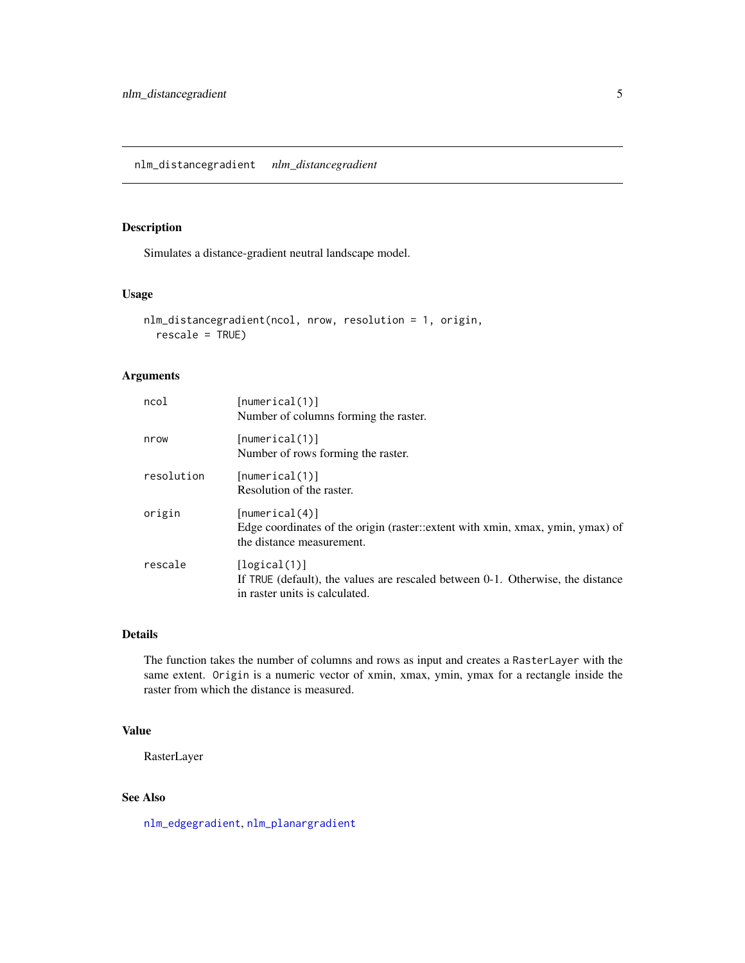#### <span id="page-4-1"></span><span id="page-4-0"></span>Description

Simulates a distance-gradient neutral landscape model.

# Usage

```
nlm_distancegradient(ncol, nrow, resolution = 1, origin,
  rescale = TRUE)
```
# Arguments

| ncol       | [numerical(1)]<br>Number of columns forming the raster.                                                                           |
|------------|-----------------------------------------------------------------------------------------------------------------------------------|
| nrow       | [numerical(1)]<br>Number of rows forming the raster.                                                                              |
| resolution | [numerical(1)]<br>Resolution of the raster.                                                                                       |
| origin     | [numerical(4)]<br>Edge coordinates of the origin (raster::extent with xmin, xmax, ymin, ymax) of<br>the distance measurement.     |
| rescale    | [logical(1)]<br>If TRUE (default), the values are rescaled between 0-1. Otherwise, the distance<br>in raster units is calculated. |

#### Details

The function takes the number of columns and rows as input and creates a RasterLayer with the same extent. Origin is a numeric vector of xmin, xmax, ymin, ymax for a rectangle inside the raster from which the distance is measured.

#### Value

RasterLayer

# See Also

[nlm\\_edgegradient](#page-5-1), [nlm\\_planargradient](#page-17-1)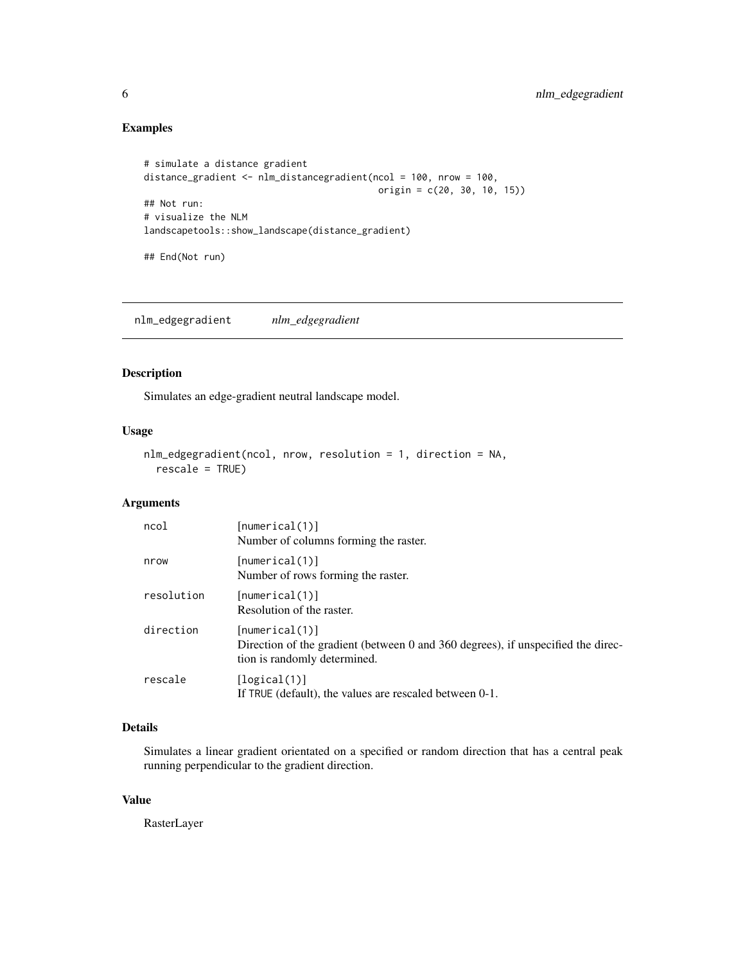# Examples

```
# simulate a distance gradient
distance_gradient <- nlm_distancegradient(ncol = 100, nrow = 100,
                                           origin = c(20, 30, 10, 15))
## Not run:
# visualize the NLM
landscapetools::show_landscape(distance_gradient)
```
## End(Not run)

<span id="page-5-1"></span>nlm\_edgegradient *nlm\_edgegradient*

# Description

Simulates an edge-gradient neutral landscape model.

#### Usage

```
nlm_edgegradient(ncol, nrow, resolution = 1, direction = NA,
  rescale = TRUE)
```
# Arguments

| ncol       | [numerical(1)]<br>Number of columns forming the raster.                                                                            |
|------------|------------------------------------------------------------------------------------------------------------------------------------|
| nrow       | [numerical(1)]<br>Number of rows forming the raster.                                                                               |
| resolution | [numerical(1)]<br>Resolution of the raster.                                                                                        |
| direction  | [numerical(1)]<br>Direction of the gradient (between 0 and 360 degrees), if unspecified the direc-<br>tion is randomly determined. |
| rescale    | [logical(1)]<br>If TRUE (default), the values are rescaled between 0-1.                                                            |

# Details

Simulates a linear gradient orientated on a specified or random direction that has a central peak running perpendicular to the gradient direction.

#### Value

RasterLayer

<span id="page-5-0"></span>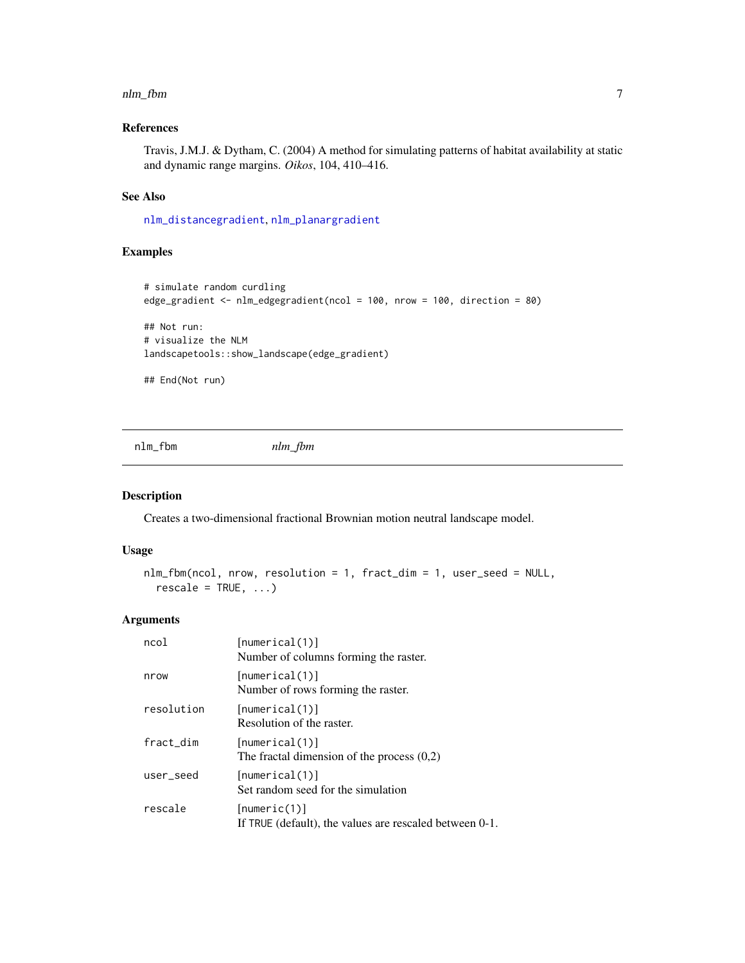#### <span id="page-6-0"></span>nlm\_fbm 7

# References

Travis, J.M.J. & Dytham, C. (2004) A method for simulating patterns of habitat availability at static and dynamic range margins. *Oikos*, 104, 410–416.

# See Also

[nlm\\_distancegradient](#page-4-1), [nlm\\_planargradient](#page-17-1)

# Examples

```
# simulate random curdling
edge_gradient <- nlm_edgegradient(ncol = 100, nrow = 100, direction = 80)
## Not run:
# visualize the NLM
landscapetools::show_landscape(edge_gradient)
## End(Not run)
```
nlm\_fbm *nlm\_fbm*

# Description

Creates a two-dimensional fractional Brownian motion neutral landscape model.

#### Usage

```
nlm_fbm(ncol, nrow, resolution = 1, fract_dim = 1, user_seed = NULL,
  rescale = TRUE, ...
```

| ncol       | [numerical(1)]<br>Number of columns forming the raster.                 |
|------------|-------------------------------------------------------------------------|
| nrow       | [numerical(1)]<br>Number of rows forming the raster.                    |
| resolution | [numerical(1)]<br>Resolution of the raster.                             |
| fract_dim  | [numerical(1)]<br>The fractal dimension of the process $(0,2)$          |
| user_seed  | [numerical(1)]<br>Set random seed for the simulation                    |
| rescale    | [numeric(1)]<br>If TRUE (default), the values are rescaled between 0-1. |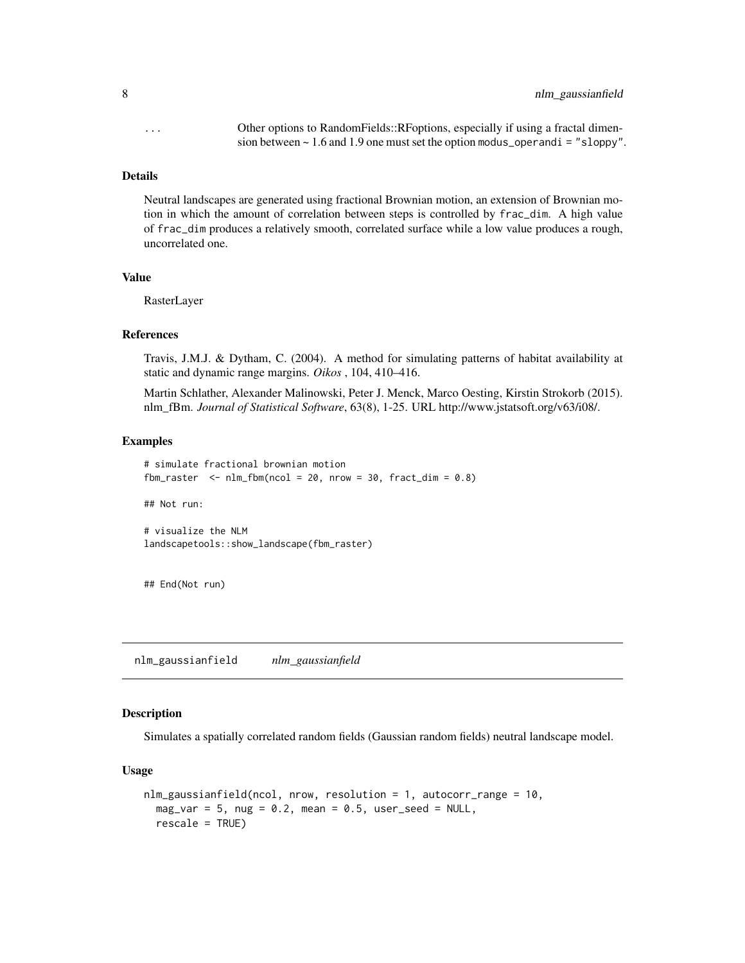<span id="page-7-0"></span>... Other options to RandomFields::RFoptions, especially if using a fractal dimension between  $\sim 1.6$  and 1.9 one must set the option modus\_operandi = "sloppy".

#### Details

Neutral landscapes are generated using fractional Brownian motion, an extension of Brownian motion in which the amount of correlation between steps is controlled by frac\_dim. A high value of frac\_dim produces a relatively smooth, correlated surface while a low value produces a rough, uncorrelated one.

#### Value

RasterLayer

#### References

Travis, J.M.J. & Dytham, C. (2004). A method for simulating patterns of habitat availability at static and dynamic range margins. *Oikos* , 104, 410–416.

Martin Schlather, Alexander Malinowski, Peter J. Menck, Marco Oesting, Kirstin Strokorb (2015). nlm\_fBm. *Journal of Statistical Software*, 63(8), 1-25. URL http://www.jstatsoft.org/v63/i08/.

# Examples

```
# simulate fractional brownian motion
fbm_raster \leq nlm_fbm(ncol = 20, nrow = 30, fract_dim = 0.8)
## Not run:
# visualize the NLM
landscapetools::show_landscape(fbm_raster)
```
## End(Not run)

nlm\_gaussianfield *nlm\_gaussianfield*

#### Description

Simulates a spatially correlated random fields (Gaussian random fields) neutral landscape model.

#### Usage

```
nlm_gaussianfield(ncol, nrow, resolution = 1, autocorr_range = 10,
 mag\_var = 5, nug = 0.2, mean = 0.5, user_seed = NULL,
 rescale = TRUE)
```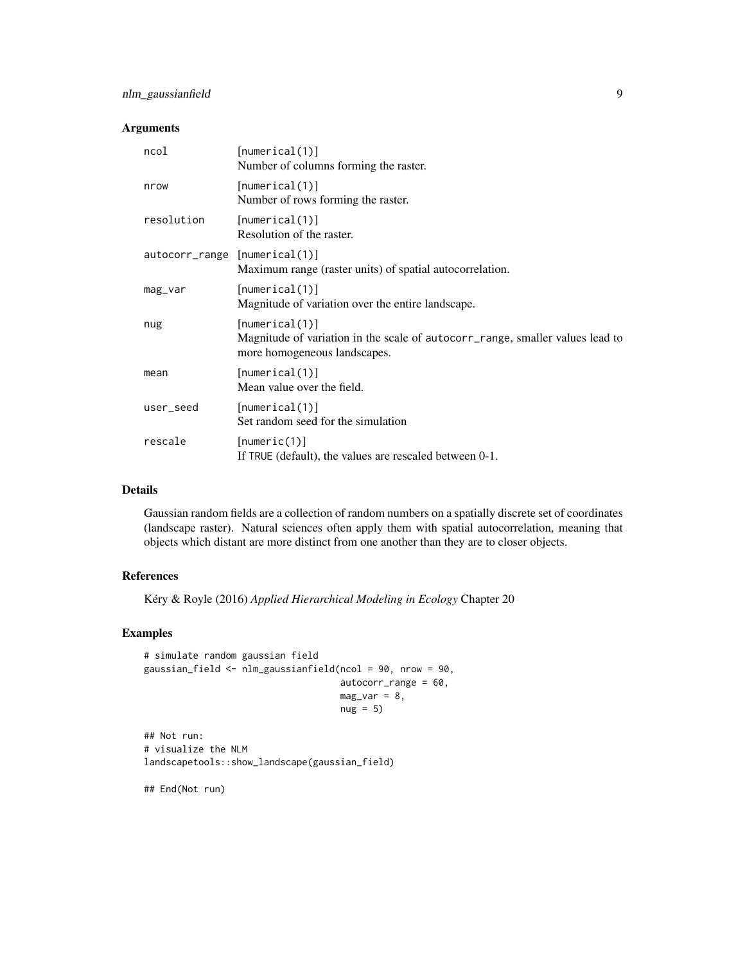# nlm\_gaussianfield 9

# Arguments

| ncol                          | [numerical(1)]<br>Number of columns forming the raster.                                                                         |
|-------------------------------|---------------------------------------------------------------------------------------------------------------------------------|
| nrow                          | [numerical(1)]<br>Number of rows forming the raster.                                                                            |
| resolution                    | [numerical(1)]<br>Resolution of the raster.                                                                                     |
| autocorr_range [numerical(1)] | Maximum range (raster units) of spatial autocorrelation.                                                                        |
| mag_var                       | [numerical(1)]<br>Magnitude of variation over the entire landscape.                                                             |
| nug                           | [numerical(1)]<br>Magnitude of variation in the scale of autocorr_range, smaller values lead to<br>more homogeneous landscapes. |
| mean                          | [numerical(1)]<br>Mean value over the field.                                                                                    |
| user_seed                     | [numerical(1)]<br>Set random seed for the simulation                                                                            |
| rescale                       | [numeric(1)]<br>If TRUE (default), the values are rescaled between 0-1.                                                         |

# Details

Gaussian random fields are a collection of random numbers on a spatially discrete set of coordinates (landscape raster). Natural sciences often apply them with spatial autocorrelation, meaning that objects which distant are more distinct from one another than they are to closer objects.

# References

Kéry & Royle (2016) *Applied Hierarchical Modeling in Ecology* Chapter 20

#### Examples

```
# simulate random gaussian field
gaussian_field <- nlm_gaussianfield(ncol = 90, nrow = 90,
                                   autocorr_range = 60,
                                   mag\_var = 8,
                                   nug = 5
```
## Not run: # visualize the NLM landscapetools::show\_landscape(gaussian\_field)

## End(Not run)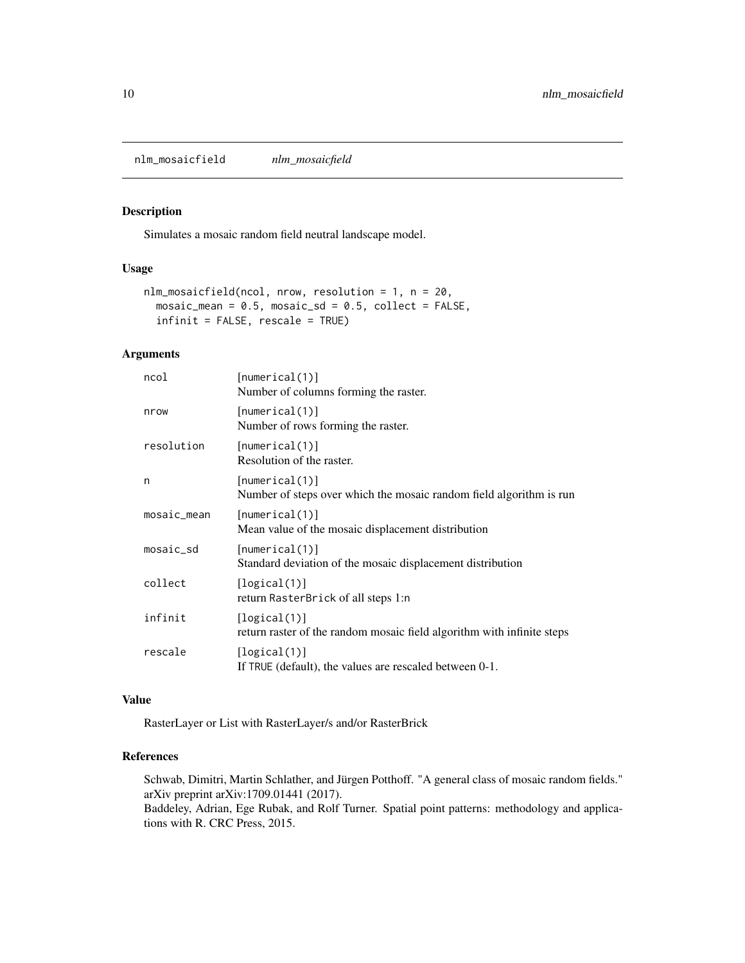<span id="page-9-0"></span>nlm\_mosaicfield *nlm\_mosaicfield*

#### Description

Simulates a mosaic random field neutral landscape model.

# Usage

```
nlm_mosaicfield(ncol, nrow, resolution = 1, n = 20,
 mosaic_mean = 0.5, mosaic_sd = 0.5, collect = FALSE,
  infinit = FALSE, rescale = TRUE)
```
# Arguments

| ncol        | [numerical(1)]<br>Number of columns forming the raster.                                |
|-------------|----------------------------------------------------------------------------------------|
| nrow        | [numerical(1)]<br>Number of rows forming the raster.                                   |
| resolution  | [numerical(1)]<br>Resolution of the raster.                                            |
| n           | [numerical(1)]<br>Number of steps over which the mosaic random field algorithm is run  |
| mosaic_mean | [numerical(1)]<br>Mean value of the mosaic displacement distribution                   |
| $mosaic_Sd$ | [numerical(1)]<br>Standard deviation of the mosaic displacement distribution           |
| collect     | [logical(1)]<br>return RasterBrick of all steps 1:n                                    |
| infinit     | [logical(1)]<br>return raster of the random mosaic field algorithm with infinite steps |
| rescale     | [logical(1)]<br>If TRUE (default), the values are rescaled between 0-1.                |
|             |                                                                                        |

#### Value

RasterLayer or List with RasterLayer/s and/or RasterBrick

# References

Schwab, Dimitri, Martin Schlather, and Jürgen Potthoff. "A general class of mosaic random fields." arXiv preprint arXiv:1709.01441 (2017).

Baddeley, Adrian, Ege Rubak, and Rolf Turner. Spatial point patterns: methodology and applications with R. CRC Press, 2015.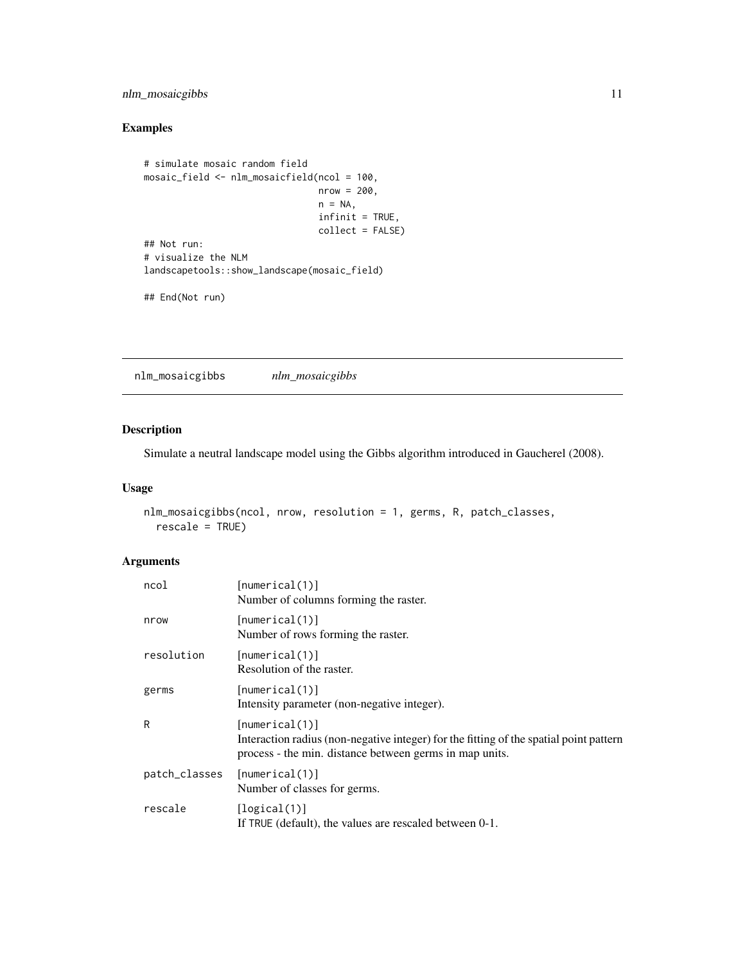# <span id="page-10-0"></span>nlm\_mosaicgibbs 11

# Examples

```
# simulate mosaic random field
mosaic_field <- nlm_mosaicfield(ncol = 100,
                                nrow = 200,n = NA,
                                infinit = TRUE,
                                collect = FALSE)
## Not run:
# visualize the NLM
landscapetools::show_landscape(mosaic_field)
```

```
## End(Not run)
```
nlm\_mosaicgibbs *nlm\_mosaicgibbs*

# Description

Simulate a neutral landscape model using the Gibbs algorithm introduced in Gaucherel (2008).

#### Usage

```
nlm_mosaicgibbs(ncol, nrow, resolution = 1, germs, R, patch_classes,
  rescale = TRUE)
```

| ncol          | [numerical(1)]<br>Number of columns forming the raster.                                                                                                             |
|---------------|---------------------------------------------------------------------------------------------------------------------------------------------------------------------|
| nrow          | [numerical(1)]<br>Number of rows forming the raster.                                                                                                                |
| resolution    | [numerical(1)]<br>Resolution of the raster.                                                                                                                         |
| germs         | [numerical(1)]<br>Intensity parameter (non-negative integer).                                                                                                       |
| R             | [numerical(1)]<br>Interaction radius (non-negative integer) for the fitting of the spatial point pattern<br>process - the min. distance between germs in map units. |
| patch_classes | [numerical(1)]<br>Number of classes for germs.                                                                                                                      |
| rescale       | [logical(1)]<br>If TRUE (default), the values are rescaled between 0-1.                                                                                             |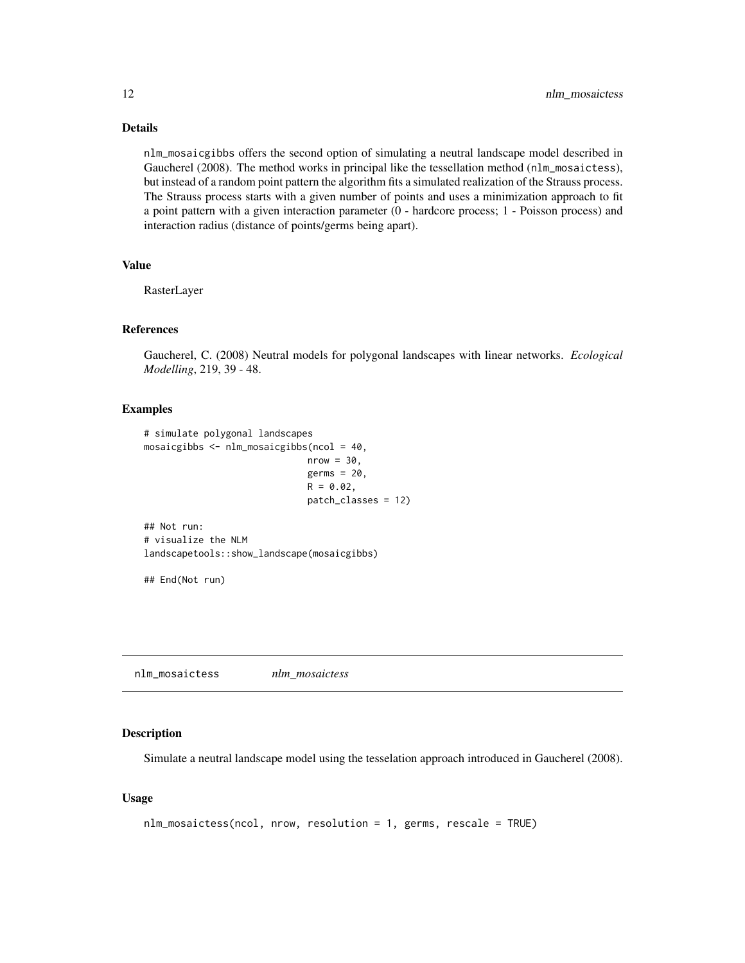# <span id="page-11-0"></span>Details

nlm\_mosaicgibbs offers the second option of simulating a neutral landscape model described in Gaucherel (2008). The method works in principal like the tessellation method (nlm\_mosaictess), but instead of a random point pattern the algorithm fits a simulated realization of the Strauss process. The Strauss process starts with a given number of points and uses a minimization approach to fit a point pattern with a given interaction parameter (0 - hardcore process; 1 - Poisson process) and interaction radius (distance of points/germs being apart).

# Value

RasterLayer

#### References

Gaucherel, C. (2008) Neutral models for polygonal landscapes with linear networks. *Ecological Modelling*, 219, 39 - 48.

#### Examples

```
# simulate polygonal landscapes
mosaicgibbs <- nlm_mosaicgibbs(ncol = 40,
                              nrow = 30,
                              germs = 20,
                              R = 0.02,
                              patch_classes = 12)
## Not run:
# visualize the NLM
landscapetools::show_landscape(mosaicgibbs)
## End(Not run)
```
nlm\_mosaictess *nlm\_mosaictess*

#### Description

Simulate a neutral landscape model using the tesselation approach introduced in Gaucherel (2008).

#### Usage

```
nlm_mosaictess(ncol, nrow, resolution = 1, germs, rescale = TRUE)
```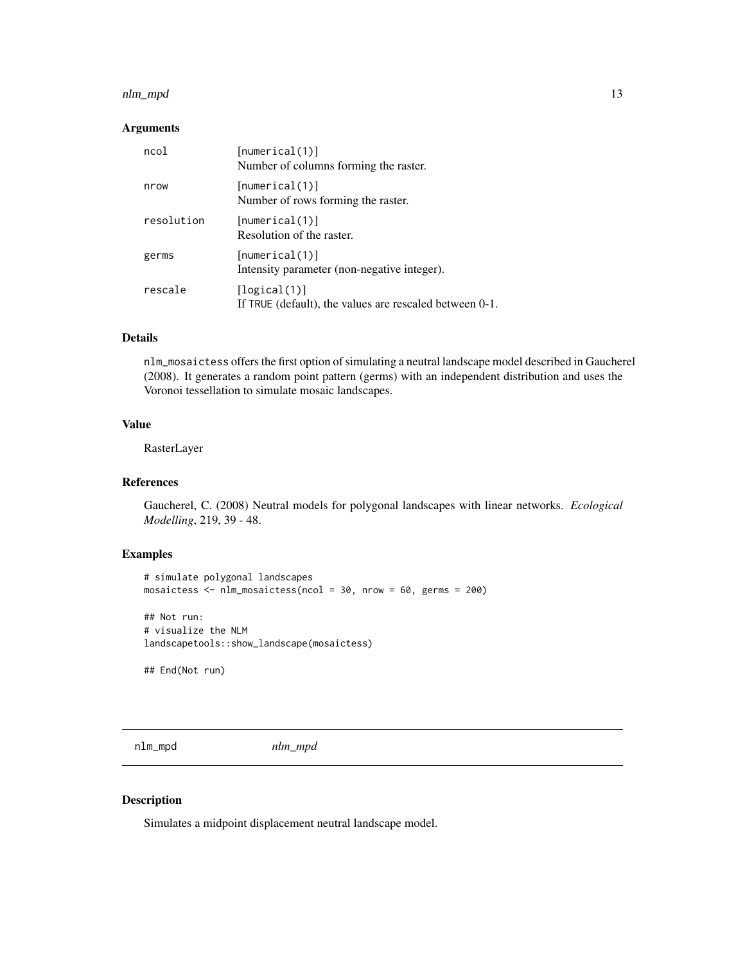#### <span id="page-12-0"></span>nlm\_mpd 13

#### Arguments

| ncol       | [numerical(1)]<br>Number of columns forming the raster.                 |
|------------|-------------------------------------------------------------------------|
| nrow       | [numerical(1)]<br>Number of rows forming the raster.                    |
| resolution | [numerical(1)]<br>Resolution of the raster.                             |
| germs      | [numerical(1)]<br>Intensity parameter (non-negative integer).           |
| rescale    | [logical(1)]<br>If TRUE (default), the values are rescaled between 0-1. |

# Details

nlm\_mosaictess offers the first option of simulating a neutral landscape model described in Gaucherel (2008). It generates a random point pattern (germs) with an independent distribution and uses the Voronoi tessellation to simulate mosaic landscapes.

# Value

RasterLayer

# References

Gaucherel, C. (2008) Neutral models for polygonal landscapes with linear networks. *Ecological Modelling*, 219, 39 - 48.

# Examples

```
# simulate polygonal landscapes
mosaictess <- nlm_mosaictess(ncol = 30, nrow = 60, germs = 200)
## Not run:
# visualize the NLM
landscapetools::show_landscape(mosaictess)
## End(Not run)
```
nlm\_mpd *nlm\_mpd*

#### Description

Simulates a midpoint displacement neutral landscape model.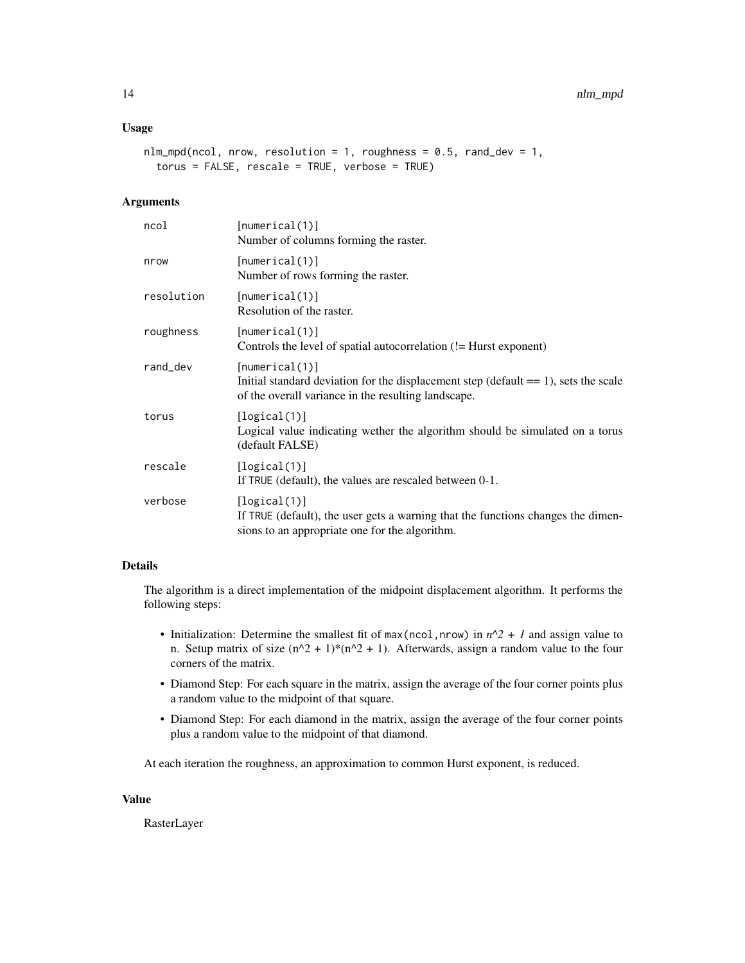# Usage

```
nlm_mpd(ncol, nrow, resolution = 1, roughness = 0.5, rand\_dev = 1,torus = FALSE, rescale = TRUE, verbose = TRUE)
```
# Arguments

| ncol       | [numerical(1)]<br>Number of columns forming the raster.                                                                                                         |
|------------|-----------------------------------------------------------------------------------------------------------------------------------------------------------------|
| nrow       | [numerical(1)]<br>Number of rows forming the raster.                                                                                                            |
| resolution | [numerical(1)]<br>Resolution of the raster.                                                                                                                     |
| roughness  | [numerical(1)]<br>Controls the level of spatial autocorrelation (!= Hurst exponent)                                                                             |
| rand_dev   | [numerical(1)]<br>Initial standard deviation for the displacement step (default $== 1$ ), sets the scale<br>of the overall variance in the resulting landscape. |
| torus      | [logical(1)]<br>Logical value indicating wether the algorithm should be simulated on a torus<br>(default FALSE)                                                 |
| rescale    | [logical(1)]<br>If TRUE (default), the values are rescaled between 0-1.                                                                                         |
| verbose    | [logical(1)]<br>If TRUE (default), the user gets a warning that the functions changes the dimen-<br>sions to an appropriate one for the algorithm.              |

# Details

The algorithm is a direct implementation of the midpoint displacement algorithm. It performs the following steps:

- Initialization: Determine the smallest fit of max(ncol,nrow) in  $n^2 + 1$  and assign value to n. Setup matrix of size  $(n^2 + 1)*(n^2 + 1)$ . Afterwards, assign a random value to the four corners of the matrix.
- Diamond Step: For each square in the matrix, assign the average of the four corner points plus a random value to the midpoint of that square.
- Diamond Step: For each diamond in the matrix, assign the average of the four corner points plus a random value to the midpoint of that diamond.

At each iteration the roughness, an approximation to common Hurst exponent, is reduced.

#### Value

RasterLayer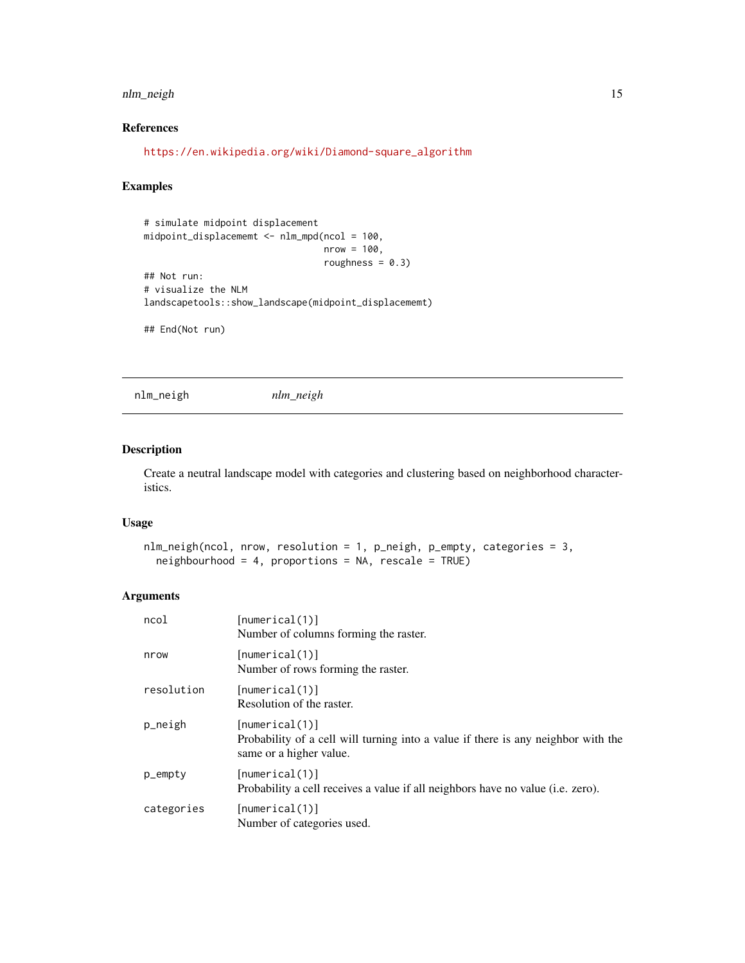# <span id="page-14-0"></span>nlm\_neigh 15

# References

[https://en.wikipedia.org/wiki/Diamond-square\\_algorithm](https://en.wikipedia.org/wiki/Diamond-square_algorithm)

# Examples

```
# simulate midpoint displacement
midpoint_displacememt <- nlm_mpd(ncol = 100,
                                 nrow = 100,
                                 roughness = 0.3)
## Not run:
# visualize the NLM
landscapetools::show_landscape(midpoint_displacememt)
## End(Not run)
```
nlm\_neigh *nlm\_neigh*

#### Description

Create a neutral landscape model with categories and clustering based on neighborhood characteristics.

#### Usage

```
nlm_neigh(ncol, nrow, resolution = 1, p_neigh, p_empty, categories = 3,
  neighbourhood = 4, proportions = NA, rescale = TRUE)
```

| ncol       | [numerical(1)]<br>Number of columns forming the raster.                                                                        |
|------------|--------------------------------------------------------------------------------------------------------------------------------|
| nrow       | [numerical(1)]<br>Number of rows forming the raster.                                                                           |
| resolution | [numerical(1)]<br>Resolution of the raster.                                                                                    |
| p_neigh    | [numerical(1)]<br>Probability of a cell will turning into a value if there is any neighbor with the<br>same or a higher value. |
| $p$ _empty | [numerical(1)]<br>Probability a cell receives a value if all neighbors have no value ( <i>i.e. zero</i> ).                     |
| categories | [numerical(1)]<br>Number of categories used.                                                                                   |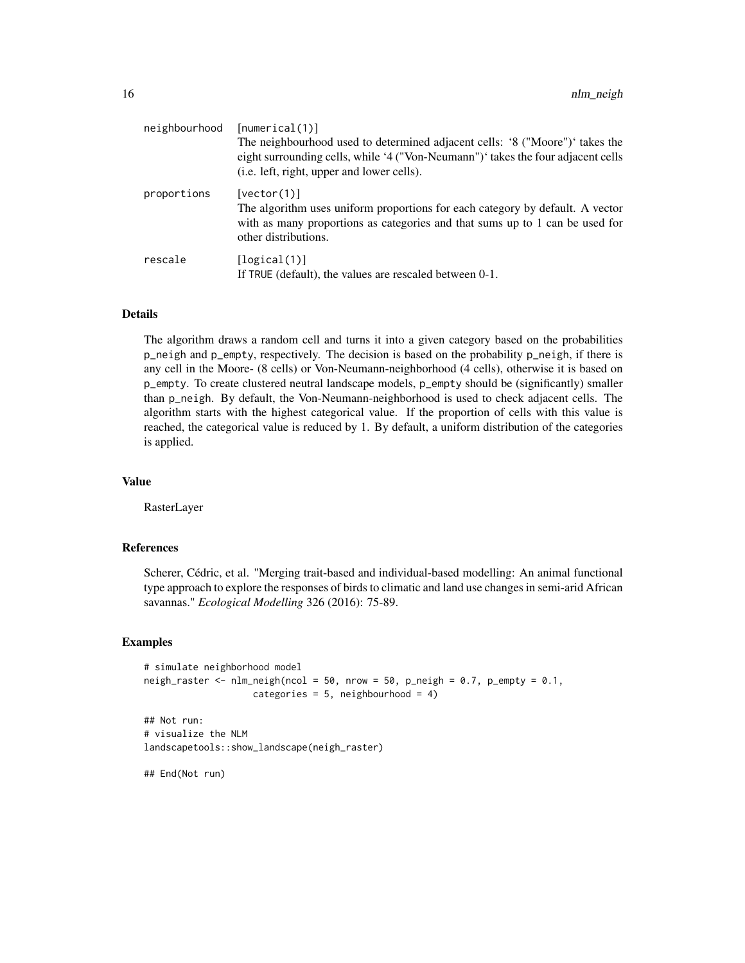| neighbourhood | [numerical(1)]                                                                   |
|---------------|----------------------------------------------------------------------------------|
|               | The neighbourhood used to determined adjacent cells: '8 ("Moore")' takes the     |
|               | eight surrounding cells, while '4 ("Von-Neumann")' takes the four adjacent cells |
|               | ( <i>i.e.</i> left, right, upper and lower cells).                               |
| proportions   | [vector(1)]                                                                      |
|               | The algorithm uses uniform proportions for each category by default. A vector    |
|               | with as many proportions as categories and that sums up to 1 can be used for     |
|               | other distributions.                                                             |
| rescale       | [logical(1)]                                                                     |
|               | If TRUE (default), the values are rescaled between 0-1.                          |

#### Details

The algorithm draws a random cell and turns it into a given category based on the probabilities p\_neigh and p\_empty, respectively. The decision is based on the probability p\_neigh, if there is any cell in the Moore- (8 cells) or Von-Neumann-neighborhood (4 cells), otherwise it is based on p\_empty. To create clustered neutral landscape models, p\_empty should be (significantly) smaller than p\_neigh. By default, the Von-Neumann-neighborhood is used to check adjacent cells. The algorithm starts with the highest categorical value. If the proportion of cells with this value is reached, the categorical value is reduced by 1. By default, a uniform distribution of the categories is applied.

#### Value

RasterLayer

# References

Scherer, Cédric, et al. "Merging trait-based and individual-based modelling: An animal functional type approach to explore the responses of birds to climatic and land use changes in semi-arid African savannas." *Ecological Modelling* 326 (2016): 75-89.

# Examples

```
# simulate neighborhood model
neigh_raster \leq nlm_neigh(ncol = 50, nrow = 50, p_neigh = 0.7, p_empty = 0.1,
                    categories = 5, neighbourhood = 4)
```

```
## Not run:
# visualize the NLM
landscapetools::show_landscape(neigh_raster)
```
## End(Not run)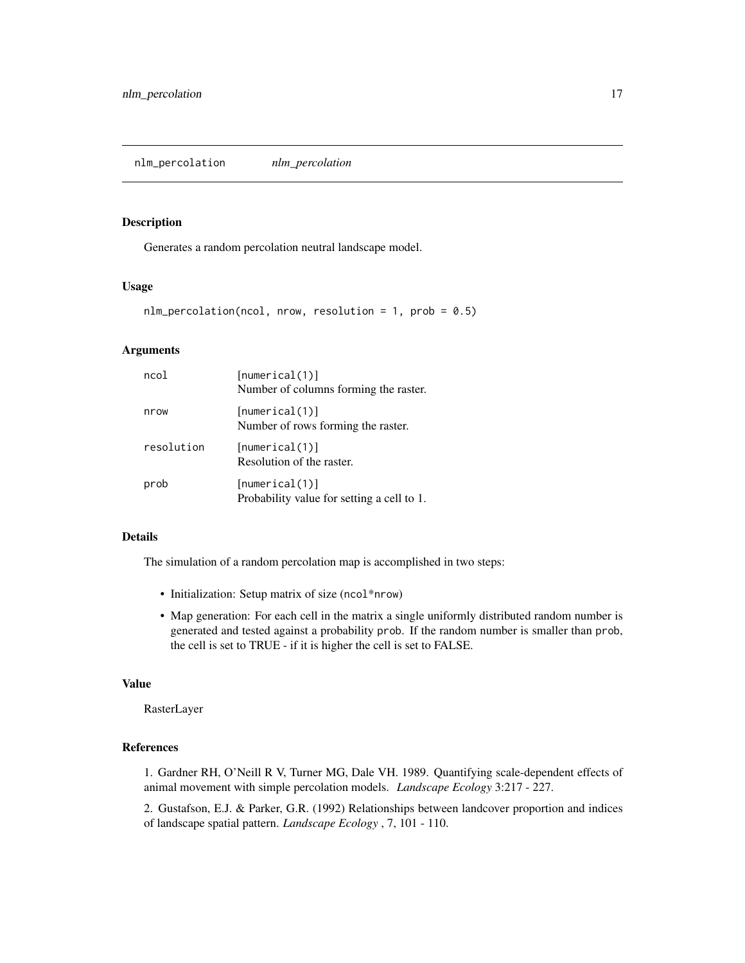<span id="page-16-0"></span>nlm\_percolation *nlm\_percolation*

#### Description

Generates a random percolation neutral landscape model.

#### Usage

```
nlm_percolation(ncol, nrow, resolution = 1, prob = 0.5)
```
#### Arguments

| ncol       | [numerical(1)]<br>Number of columns forming the raster.      |
|------------|--------------------------------------------------------------|
| nrow       | [numerical(1)]<br>Number of rows forming the raster.         |
| resolution | [numerical(1)]<br>Resolution of the raster.                  |
| prob       | [numerical(1)]<br>Probability value for setting a cell to 1. |

### Details

The simulation of a random percolation map is accomplished in two steps:

- Initialization: Setup matrix of size (ncol\*nrow)
- Map generation: For each cell in the matrix a single uniformly distributed random number is generated and tested against a probability prob. If the random number is smaller than prob, the cell is set to TRUE - if it is higher the cell is set to FALSE.

#### Value

RasterLayer

#### References

1. Gardner RH, O'Neill R V, Turner MG, Dale VH. 1989. Quantifying scale-dependent effects of animal movement with simple percolation models. *Landscape Ecology* 3:217 - 227.

2. Gustafson, E.J. & Parker, G.R. (1992) Relationships between landcover proportion and indices of landscape spatial pattern. *Landscape Ecology* , 7, 101 - 110.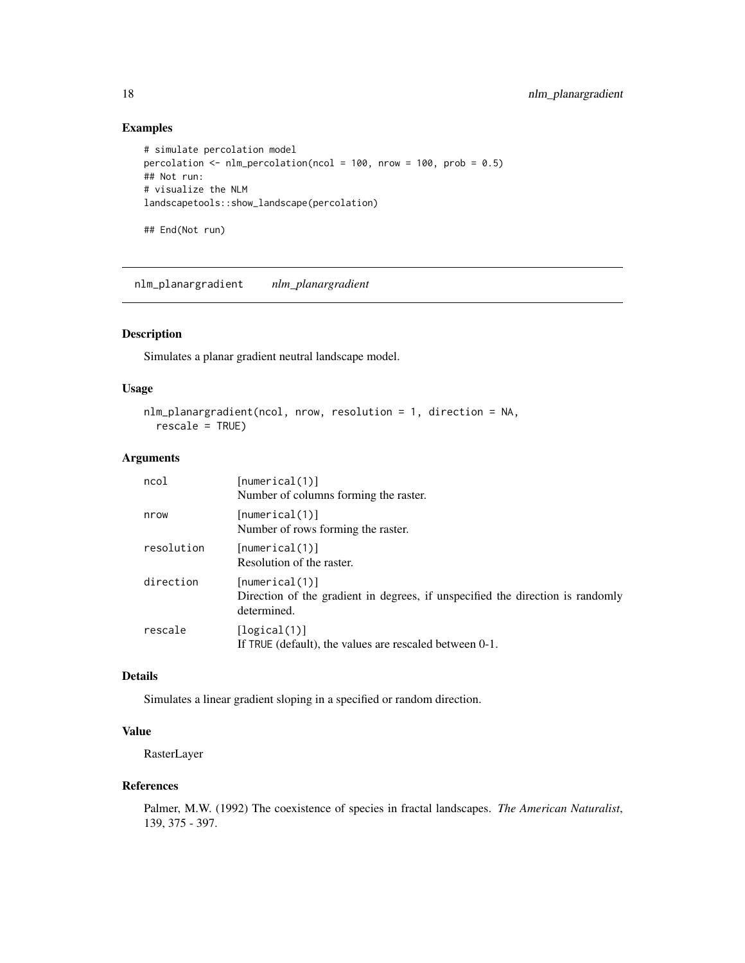# Examples

```
# simulate percolation model
percolation <- nlm_percolation(ncol = 100, nrow = 100, prob = 0.5)
## Not run:
# visualize the NLM
landscapetools::show_landscape(percolation)
## End(Not run)
```
<span id="page-17-1"></span>nlm\_planargradient *nlm\_planargradient*

# Description

Simulates a planar gradient neutral landscape model.

# Usage

```
nlm_planargradient(ncol, nrow, resolution = 1, direction = NA,
  rescale = TRUE)
```
# Arguments

| ncol       | [numerical(1)]<br>Number of columns forming the raster.                                                         |
|------------|-----------------------------------------------------------------------------------------------------------------|
| nrow       | [numerical(1)]<br>Number of rows forming the raster.                                                            |
| resolution | [numerical(1)]<br>Resolution of the raster.                                                                     |
| direction  | [numerical(1)]<br>Direction of the gradient in degrees, if unspecified the direction is randomly<br>determined. |
| rescale    | [logical(1)]<br>If TRUE (default), the values are rescaled between 0-1.                                         |

# Details

Simulates a linear gradient sloping in a specified or random direction.

# Value

RasterLayer

#### References

Palmer, M.W. (1992) The coexistence of species in fractal landscapes. *The American Naturalist*, 139, 375 - 397.

<span id="page-17-0"></span>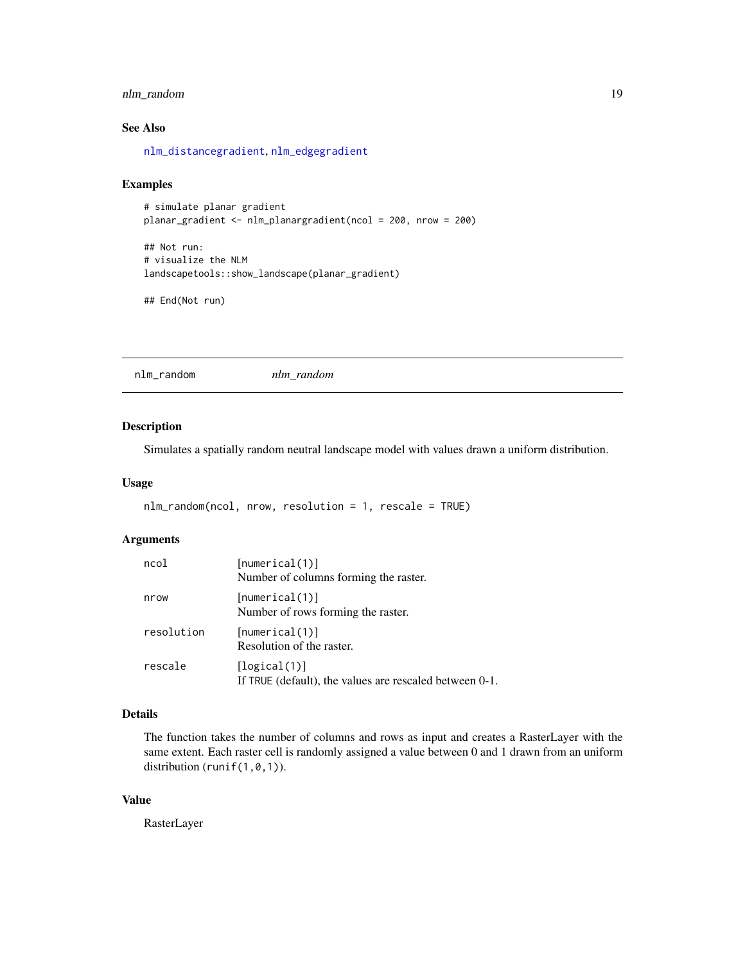# <span id="page-18-0"></span>nlm\_random 19

# See Also

[nlm\\_distancegradient](#page-4-1), [nlm\\_edgegradient](#page-5-1)

#### Examples

```
# simulate planar gradient
planar_gradient <- nlm_planargradient(ncol = 200, nrow = 200)
```
## Not run: # visualize the NLM landscapetools::show\_landscape(planar\_gradient)

## End(Not run)

nlm\_random *nlm\_random*

#### Description

Simulates a spatially random neutral landscape model with values drawn a uniform distribution.

#### Usage

```
nlm_random(ncol, nrow, resolution = 1, rescale = TRUE)
```
#### Arguments

| ncol       | [numerical(1)]<br>Number of columns forming the raster.                 |
|------------|-------------------------------------------------------------------------|
| nrow       | [numerical(1)]<br>Number of rows forming the raster.                    |
| resolution | [numerical(1)]<br>Resolution of the raster.                             |
| rescale    | [logical(1)]<br>If TRUE (default), the values are rescaled between 0-1. |

#### Details

The function takes the number of columns and rows as input and creates a RasterLayer with the same extent. Each raster cell is randomly assigned a value between 0 and 1 drawn from an uniform distribution (runif(1,0,1)).

#### Value

RasterLayer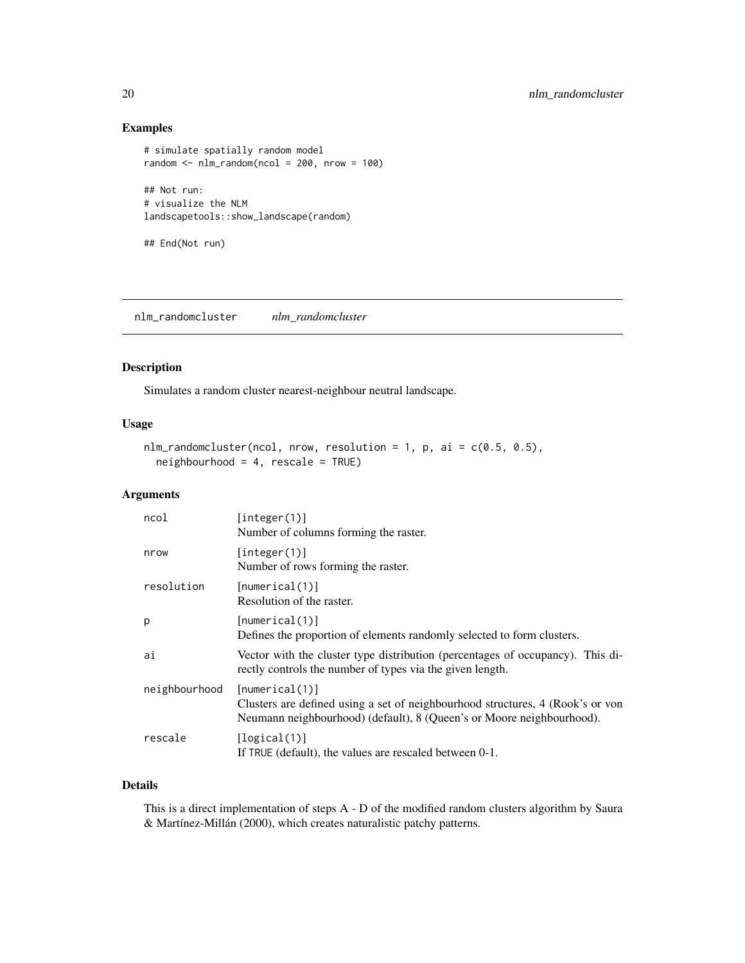# <span id="page-19-0"></span>Examples

```
# simulate spatially random model
random \le nlm_random(ncol = 200, nrow = 100)
## Not run:
# visualize the NLM
landscapetools::show_landscape(random)
```
## End(Not run)

nlm\_randomcluster *nlm\_randomcluster*

# Description

Simulates a random cluster nearest-neighbour neutral landscape.

# Usage

```
nlm_r andomcluster(ncol, nrow, resolution = 1, p, ai = c(0.5, 0.5),
 neighbourhood = 4, rescale = TRUE)
```
# Arguments

| ncol          | [interer(1)]<br>Number of columns forming the raster.                                                                                                                     |
|---------------|---------------------------------------------------------------------------------------------------------------------------------------------------------------------------|
| nrow          | [integer(1)]<br>Number of rows forming the raster.                                                                                                                        |
| resolution    | [numerical(1)]<br>Resolution of the raster.                                                                                                                               |
| p             | [numerical(1)]<br>Defines the proportion of elements randomly selected to form clusters.                                                                                  |
| ai            | Vector with the cluster type distribution (percentages of occupancy). This di-<br>rectly controls the number of types via the given length.                               |
| neighbourhood | [numerical(1)]<br>Clusters are defined using a set of neighbourhood structures, 4 (Rook's or von<br>Neumann neighbourhood) (default), 8 (Queen's or Moore neighbourhood). |
| rescale       | [logical(1)]<br>If TRUE (default), the values are rescaled between 0-1.                                                                                                   |

#### Details

This is a direct implementation of steps A - D of the modified random clusters algorithm by Saura & Martínez-Millán (2000), which creates naturalistic patchy patterns.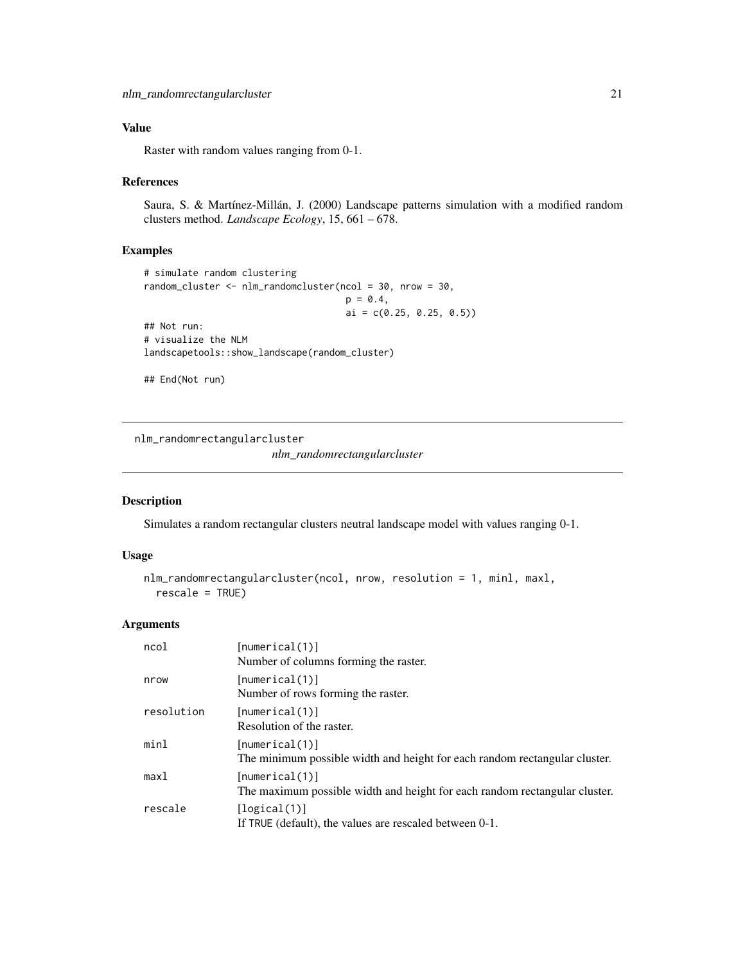# <span id="page-20-0"></span>Value

Raster with random values ranging from 0-1.

#### References

Saura, S. & Martínez-Millán, J. (2000) Landscape patterns simulation with a modified random clusters method. *Landscape Ecology*, 15, 661 – 678.

#### Examples

```
# simulate random clustering
random_cluster <- nlm_randomcluster(ncol = 30, nrow = 30,
                                     p = 0.4,
                                     ai = c(0.25, 0.25, 0.5))
## Not run:
# visualize the NLM
landscapetools::show_landscape(random_cluster)
```
## End(Not run)

nlm\_randomrectangularcluster

*nlm\_randomrectangularcluster*

# Description

Simulates a random rectangular clusters neutral landscape model with values ranging 0-1.

#### Usage

```
nlm_randomrectangularcluster(ncol, nrow, resolution = 1, minl, maxl,
  rescale = TRUE)
```

| ncol       | [numerical(1)]<br>Number of columns forming the raster.                                      |
|------------|----------------------------------------------------------------------------------------------|
| nrow       | [numerical(1)]<br>Number of rows forming the raster.                                         |
| resolution | [numerical(1)]<br>Resolution of the raster.                                                  |
| minl       | [numerical(1)]<br>The minimum possible width and height for each random rectangular cluster. |
| max1       | [numerical(1)]<br>The maximum possible width and height for each random rectangular cluster. |
| rescale    | [logical(1)]<br>If TRUE (default), the values are rescaled between 0-1.                      |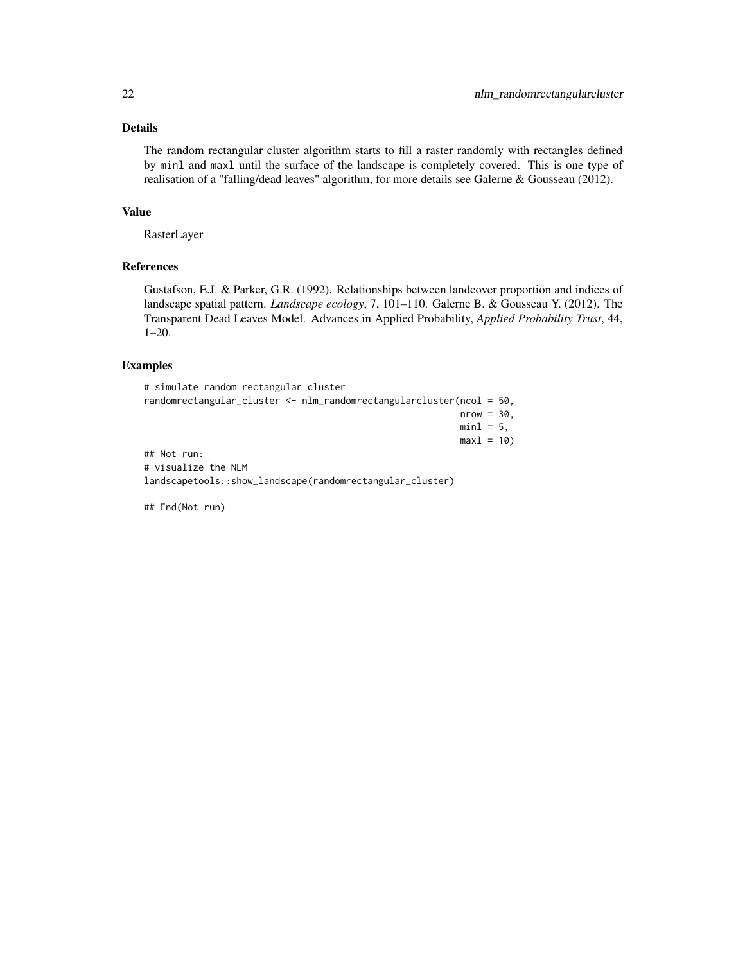#### Details

The random rectangular cluster algorithm starts to fill a raster randomly with rectangles defined by minl and maxl until the surface of the landscape is completely covered. This is one type of realisation of a "falling/dead leaves" algorithm, for more details see Galerne & Gousseau (2012).

#### Value

RasterLayer

# References

Gustafson, E.J. & Parker, G.R. (1992). Relationships between landcover proportion and indices of landscape spatial pattern. *Landscape ecology*, 7, 101–110. Galerne B. & Gousseau Y. (2012). The Transparent Dead Leaves Model. Advances in Applied Probability, *Applied Probability Trust*, 44, 1–20.

#### Examples

```
# simulate random rectangular cluster
randomrectangular_cluster <- nlm_randomrectangularcluster(ncol = 50,
                                                          nrow = 30,
                                                          min1 = 5,
                                                          max1 = 10## Not run:
# visualize the NLM
landscapetools::show_landscape(randomrectangular_cluster)
```
## End(Not run)